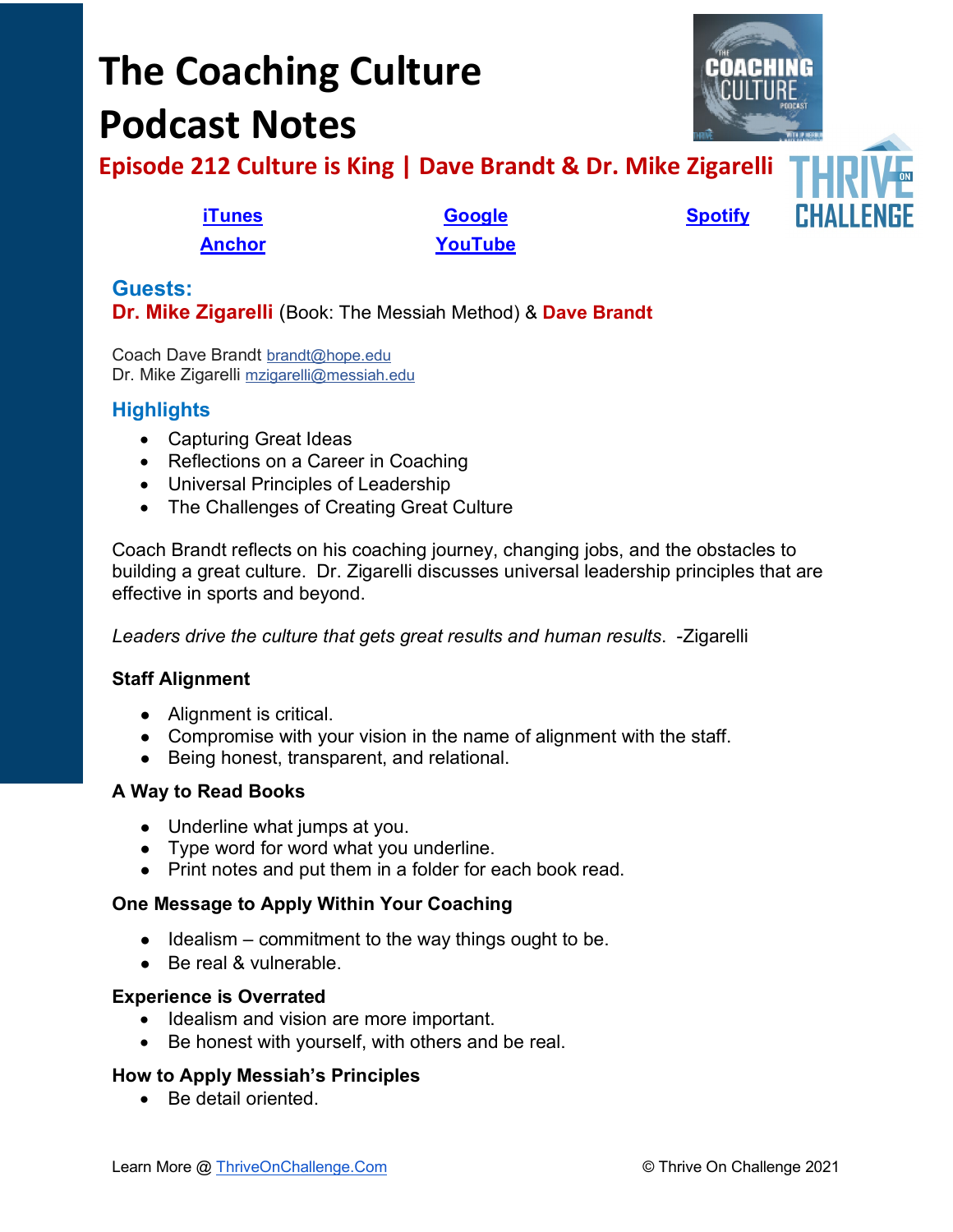# **The Coaching Culture Podcast Notes**



**Episode 212 Culture is King | Dave Brandt & Dr. Mike Zigarelli**

**[Anchor](https://tinyurl.com/4yhexz6d) [YouTube](https://youtu.be/wE5xF4gXKMs)**

**[iTunes](https://tinyurl.com/y68cvd4x) [Google](https://tinyurl.com/xhduf9bw) [Spotify](https://tinyurl.com/3sf9cp5h)**



# **Guests: Dr. Mike Zigarelli** (Book: The Messiah Method) & **Dave Brandt**

Coach Dave Brandt [brandt@hope.edu](mailto:brandt@hope.edu) Dr. Mike Zigarelli [mzigarelli@messiah.edu](mailto:mzigarelli@messiah.edu)

# **Highlights**

- Capturing Great Ideas
- Reflections on a Career in Coaching
- Universal Principles of Leadership
- The Challenges of Creating Great Culture

Coach Brandt reflects on his coaching journey, changing jobs, and the obstacles to building a great culture. Dr. Zigarelli discusses universal leadership principles that are effective in sports and beyond.

*Leaders drive the culture that gets great results and human results*. -Zigarelli

## **Staff Alignment**

- Alignment is critical.
- Compromise with your vision in the name of alignment with the staff.
- Being honest, transparent, and relational.

## **A Way to Read Books**

- Underline what jumps at you.
- Type word for word what you underline.
- Print notes and put them in a folder for each book read.

#### **One Message to Apply Within Your Coaching**

- $\bullet$  Idealism commitment to the way things ought to be.
- Be real & vulnerable.

#### **Experience is Overrated**

- Idealism and vision are more important.
- Be honest with yourself, with others and be real.

#### **How to Apply Messiah's Principles**

• Be detail oriented.